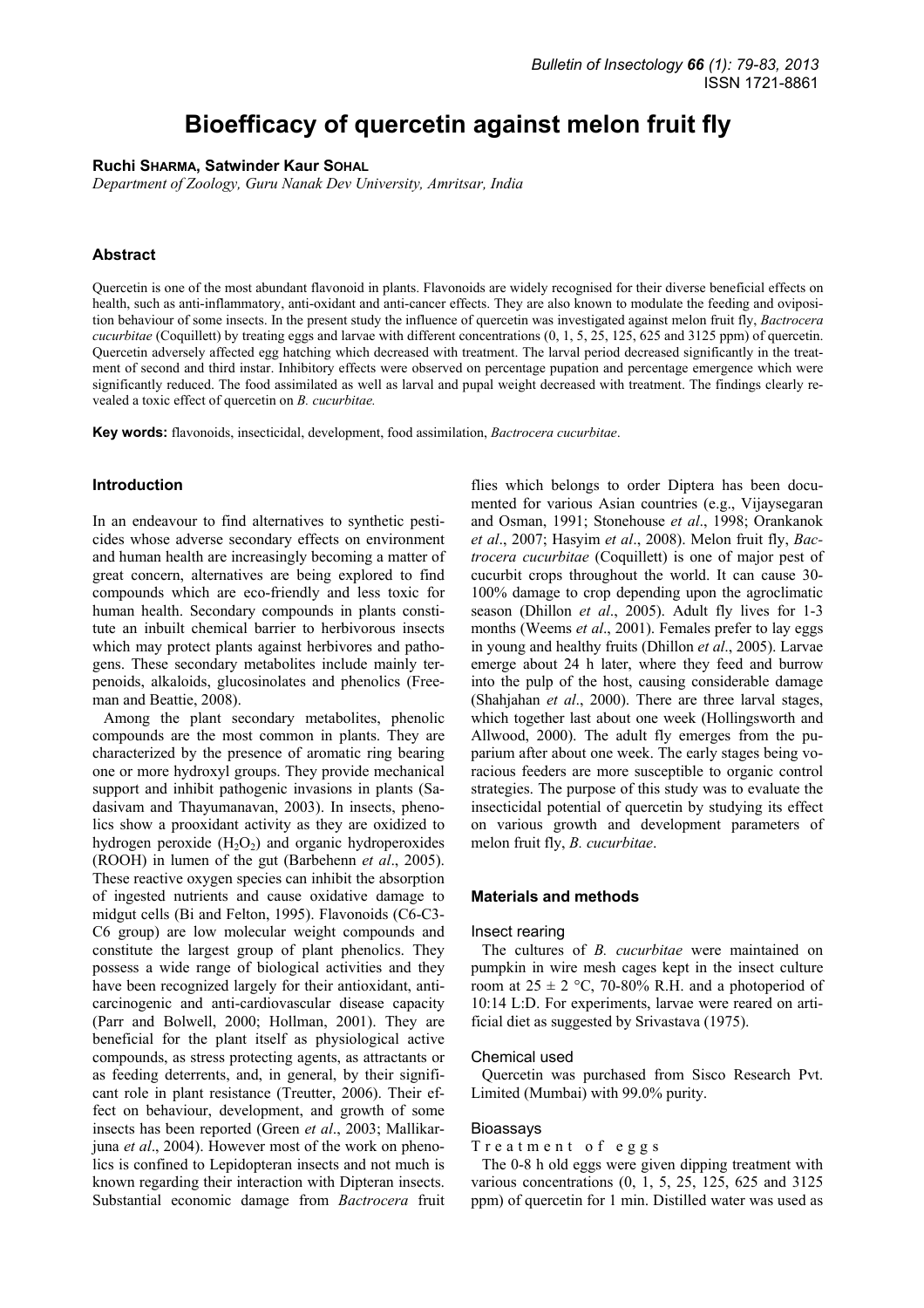# **Bioefficacy of quercetin against melon fruit fly**

**Ruchi SHARMA, Satwinder Kaur SOHAL**

*Department of Zoology, Guru Nanak Dev University, Amritsar, India* 

## **Abstract**

Quercetin is one of the most abundant flavonoid in plants. Flavonoids are widely recognised for their diverse beneficial effects on health, such as anti-inflammatory, anti-oxidant and anti-cancer effects. They are also known to modulate the feeding and oviposition behaviour of some insects. In the present study the influence of quercetin was investigated against melon fruit fly, *Bactrocera cucurbitae* (Coquillett) by treating eggs and larvae with different concentrations (0, 1, 5, 25, 125, 625 and 3125 ppm) of quercetin. Quercetin adversely affected egg hatching which decreased with treatment. The larval period decreased significantly in the treatment of second and third instar. Inhibitory effects were observed on percentage pupation and percentage emergence which were significantly reduced. The food assimilated as well as larval and pupal weight decreased with treatment. The findings clearly revealed a toxic effect of quercetin on *B. cucurbitae.* 

**Key words:** flavonoids, insecticidal, development, food assimilation, *Bactrocera cucurbitae*.

## **Introduction**

In an endeavour to find alternatives to synthetic pesticides whose adverse secondary effects on environment and human health are increasingly becoming a matter of great concern, alternatives are being explored to find compounds which are eco-friendly and less toxic for human health. Secondary compounds in plants constitute an inbuilt chemical barrier to herbivorous insects which may protect plants against herbivores and pathogens. These secondary metabolites include mainly terpenoids, alkaloids, glucosinolates and phenolics (Freeman and Beattie, 2008).

Among the plant secondary metabolites, phenolic compounds are the most common in plants. They are characterized by the presence of aromatic ring bearing one or more hydroxyl groups. They provide mechanical support and inhibit pathogenic invasions in plants (Sadasivam and Thayumanavan, 2003). In insects, phenolics show a prooxidant activity as they are oxidized to hydrogen peroxide  $(H_2O_2)$  and organic hydroperoxides (ROOH) in lumen of the gut (Barbehenn *et al*., 2005). These reactive oxygen species can inhibit the absorption of ingested nutrients and cause oxidative damage to midgut cells (Bi and Felton, 1995). Flavonoids (C6-C3- C6 group) are low molecular weight compounds and constitute the largest group of plant phenolics. They possess a wide range of biological activities and they have been recognized largely for their antioxidant, anticarcinogenic and anti-cardiovascular disease capacity (Parr and Bolwell, 2000; Hollman, 2001). They are beneficial for the plant itself as physiological active compounds, as stress protecting agents, as attractants or as feeding deterrents, and, in general, by their significant role in plant resistance (Treutter, 2006). Their effect on behaviour, development, and growth of some insects has been reported (Green *et al*., 2003; Mallikarjuna *et al*., 2004). However most of the work on phenolics is confined to Lepidopteran insects and not much is known regarding their interaction with Dipteran insects. Substantial economic damage from *Bactrocera* fruit

flies which belongs to order Diptera has been documented for various Asian countries (e.g., Vijaysegaran and Osman, 1991; Stonehouse *et al*., 1998; Orankanok *et al*., 2007; Hasyim *et al*., 2008). Melon fruit fly, *Bactrocera cucurbitae* (Coquillett) is one of major pest of cucurbit crops throughout the world. It can cause 30- 100% damage to crop depending upon the agroclimatic season (Dhillon *et al*., 2005). Adult fly lives for 1-3 months (Weems *et al*., 2001). Females prefer to lay eggs in young and healthy fruits (Dhillon *et al*., 2005). Larvae emerge about 24 h later, where they feed and burrow into the pulp of the host, causing considerable damage (Shahjahan *et al*., 2000). There are three larval stages, which together last about one week (Hollingsworth and Allwood, 2000). The adult fly emerges from the puparium after about one week. The early stages being voracious feeders are more susceptible to organic control strategies. The purpose of this study was to evaluate the insecticidal potential of quercetin by studying its effect on various growth and development parameters of melon fruit fly, *B. cucurbitae*.

## **Materials and methods**

#### Insect rearing

The cultures of *B. cucurbitae* were maintained on pumpkin in wire mesh cages kept in the insect culture room at  $25 \pm 2$  °C, 70-80% R.H. and a photoperiod of 10:14 L:D. For experiments, larvae were reared on artificial diet as suggested by Srivastava (1975).

#### Chemical used

Quercetin was purchased from Sisco Research Pvt. Limited (Mumbai) with 99.0% purity.

#### Bioassays

Treatment of eggs

The 0-8 h old eggs were given dipping treatment with various concentrations (0, 1, 5, 25, 125, 625 and 3125 ppm) of quercetin for 1 min. Distilled water was used as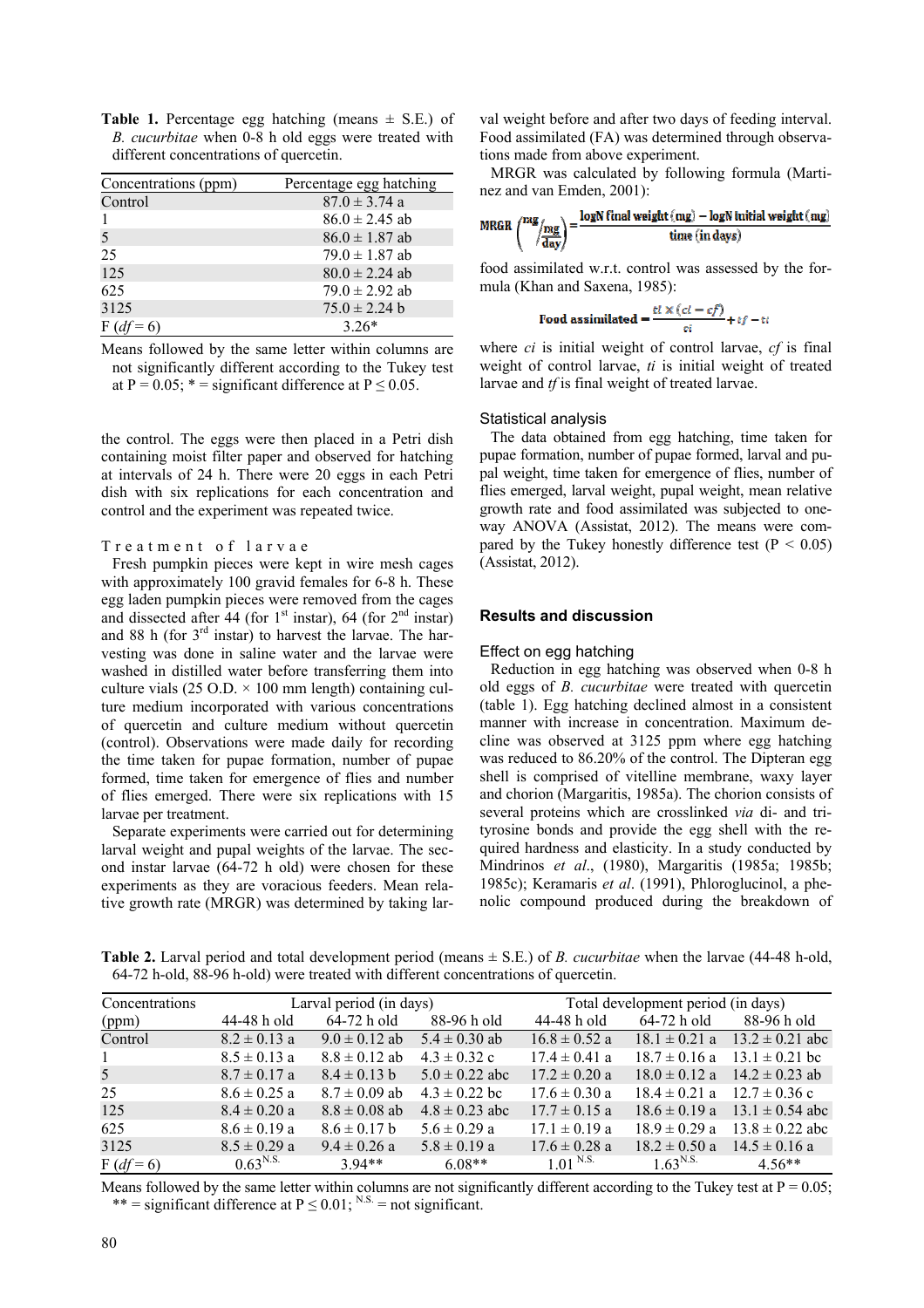|  |                                        |  |  | <b>Table 1.</b> Percentage egg hatching (means $\pm$ S.E.) of |  |
|--|----------------------------------------|--|--|---------------------------------------------------------------|--|
|  |                                        |  |  | <i>B. cucurbitae</i> when 0-8 h old eggs were treated with    |  |
|  | different concentrations of quercetin. |  |  |                                                               |  |

| Concentrations (ppm) | Percentage egg hatching |
|----------------------|-------------------------|
| Control              | $87.0 \pm 3.74$ a       |
|                      | $86.0 \pm 2.45$ ab      |
| 5                    | $86.0 \pm 1.87$ ab      |
| 25                   | $79.0 \pm 1.87$ ab      |
| 125                  | $80.0 \pm 2.24$ ab      |
| 625                  | $79.0 \pm 2.92$ ab      |
| 3125                 | $75.0 \pm 2.24$ b       |
| $F(df =$             | $3.26*$                 |

Means followed by the same letter within columns are not significantly different according to the Tukey test at P =  $0.05$ ;  $* =$  significant difference at P  $\leq 0.05$ .

the control. The eggs were then placed in a Petri dish containing moist filter paper and observed for hatching at intervals of 24 h. There were 20 eggs in each Petri dish with six replications for each concentration and control and the experiment was repeated twice.

## Treatment of larvae

Fresh pumpkin pieces were kept in wire mesh cages with approximately 100 gravid females for 6-8 h. These egg laden pumpkin pieces were removed from the cages and dissected after 44 (for  $1<sup>st</sup>$  instar), 64 (for  $2<sup>nd</sup>$  instar) and 88 h (for  $3<sup>rd</sup>$  instar) to harvest the larvae. The harvesting was done in saline water and the larvae were washed in distilled water before transferring them into culture vials (25 O.D.  $\times$  100 mm length) containing culture medium incorporated with various concentrations of quercetin and culture medium without quercetin (control). Observations were made daily for recording the time taken for pupae formation, number of pupae formed, time taken for emergence of flies and number of flies emerged. There were six replications with 15 larvae per treatment.

Separate experiments were carried out for determining larval weight and pupal weights of the larvae. The second instar larvae (64-72 h old) were chosen for these experiments as they are voracious feeders. Mean relative growth rate (MRGR) was determined by taking larval weight before and after two days of feeding interval. Food assimilated (FA) was determined through observations made from above experiment.

MRGR was calculated by following formula (Martinez and van Emden, 2001):

$$
\text{MRGR}\left(\frac{\text{mg}}{\text{day}}\right) = \frac{\log N \text{final weight}(\text{mg}) - \log N \text{ initial weight}(\text{mg})}{\text{time (in days)}}
$$

food assimilated w.r.t. control was assessed by the formula (Khan and Saxena, 1985):

**Food** assimilated = 
$$
\frac{t\ell \times (ct - cf)}{ci} + tf - tt
$$

where *ci* is initial weight of control larvae, *cf* is final weight of control larvae, *ti* is initial weight of treated larvae and *tf* is final weight of treated larvae.

#### Statistical analysis

The data obtained from egg hatching, time taken for pupae formation, number of pupae formed, larval and pupal weight, time taken for emergence of flies, number of flies emerged, larval weight, pupal weight, mean relative growth rate and food assimilated was subjected to oneway ANOVA (Assistat, 2012). The means were compared by the Tukey honestly difference test ( $P < 0.05$ ) (Assistat, 2012).

#### **Results and discussion**

#### Effect on egg hatching

Reduction in egg hatching was observed when 0-8 h old eggs of *B. cucurbitae* were treated with quercetin (table 1). Egg hatching declined almost in a consistent manner with increase in concentration. Maximum decline was observed at 3125 ppm where egg hatching was reduced to 86.20% of the control. The Dipteran egg shell is comprised of vitelline membrane, waxy layer and chorion (Margaritis, 1985a). The chorion consists of several proteins which are crosslinked *via* di- and trityrosine bonds and provide the egg shell with the required hardness and elasticity. In a study conducted by Mindrinos *et al*., (1980), Margaritis (1985a; 1985b; 1985c); Keramaris *et al*. (1991), Phloroglucinol, a phenolic compound produced during the breakdown of

**Table 2.** Larval period and total development period (means ± S.E.) of *B. cucurbitae* when the larvae (44-48 h-old, 64-72 h-old, 88-96 h-old) were treated with different concentrations of quercetin.

| Concentrations | Larval period (in days) |                   |                    | Total development period (in days) |                   |                     |  |
|----------------|-------------------------|-------------------|--------------------|------------------------------------|-------------------|---------------------|--|
| (ppm)          | 44-48 h old             | 64-72 h old       | 88-96 h old        | 44-48 h old                        | 64-72 h old       | 88-96 h old         |  |
| Control        | $8.2 \pm 0.13$ a        | $9.0 \pm 0.12$ ab | $5.4 \pm 0.30$ ab  | $16.8 \pm 0.52$ a                  | $18.1 \pm 0.21$ a | $13.2 \pm 0.21$ abc |  |
|                | $8.5 \pm 0.13$ a        | $8.8 \pm 0.12$ ab | $4.3 \pm 0.32$ c   | $17.4 \pm 0.41$ a                  | $18.7 \pm 0.16$ a | $13.1 \pm 0.21$ bc  |  |
| 5              | $8.7 \pm 0.17$ a        | $8.4 \pm 0.13$ b  | $5.0 \pm 0.22$ abc | $17.2 \pm 0.20$ a                  | $18.0 \pm 0.12$ a | $14.2 \pm 0.23$ ab  |  |
| 25             | $8.6 \pm 0.25$ a        | $8.7 \pm 0.09$ ab | $4.3 \pm 0.22$ bc  | $17.6 \pm 0.30$ a                  | $18.4 \pm 0.21$ a | $12.7 \pm 0.36$ c   |  |
| 125            | $8.4 \pm 0.20$ a        | $8.8 \pm 0.08$ ab | $4.8 \pm 0.23$ abc | $17.7 \pm 0.15$ a                  | $18.6 \pm 0.19$ a | $13.1 \pm 0.54$ abc |  |
| 625            | $8.6 \pm 0.19$ a        | $8.6 \pm 0.17$ b  | $5.6 \pm 0.29$ a   | $17.1 \pm 0.19$ a                  | $18.9 \pm 0.29$ a | $13.8 \pm 0.22$ abc |  |
| 3125           | $8.5 \pm 0.29$ a        | $9.4 \pm 0.26$ a  | $5.8 \pm 0.19$ a   | $17.6 \pm 0.28$ a                  | $18.2 \pm 0.50$ a | $14.5 \pm 0.16$ a   |  |
| $F (df = 6)$   | $0.63^{N.S.}$           | $3.94**$          | $6.08**$           | $1.01$ N.S.                        | $1.63^{N.S.}$     | $4.56**$            |  |

Means followed by the same letter within columns are not significantly different according to the Tukey test at  $P = 0.05$ ; \*\* = significant difference at  $P \le 0.01$ ; <sup>N.S.</sup> = not significant.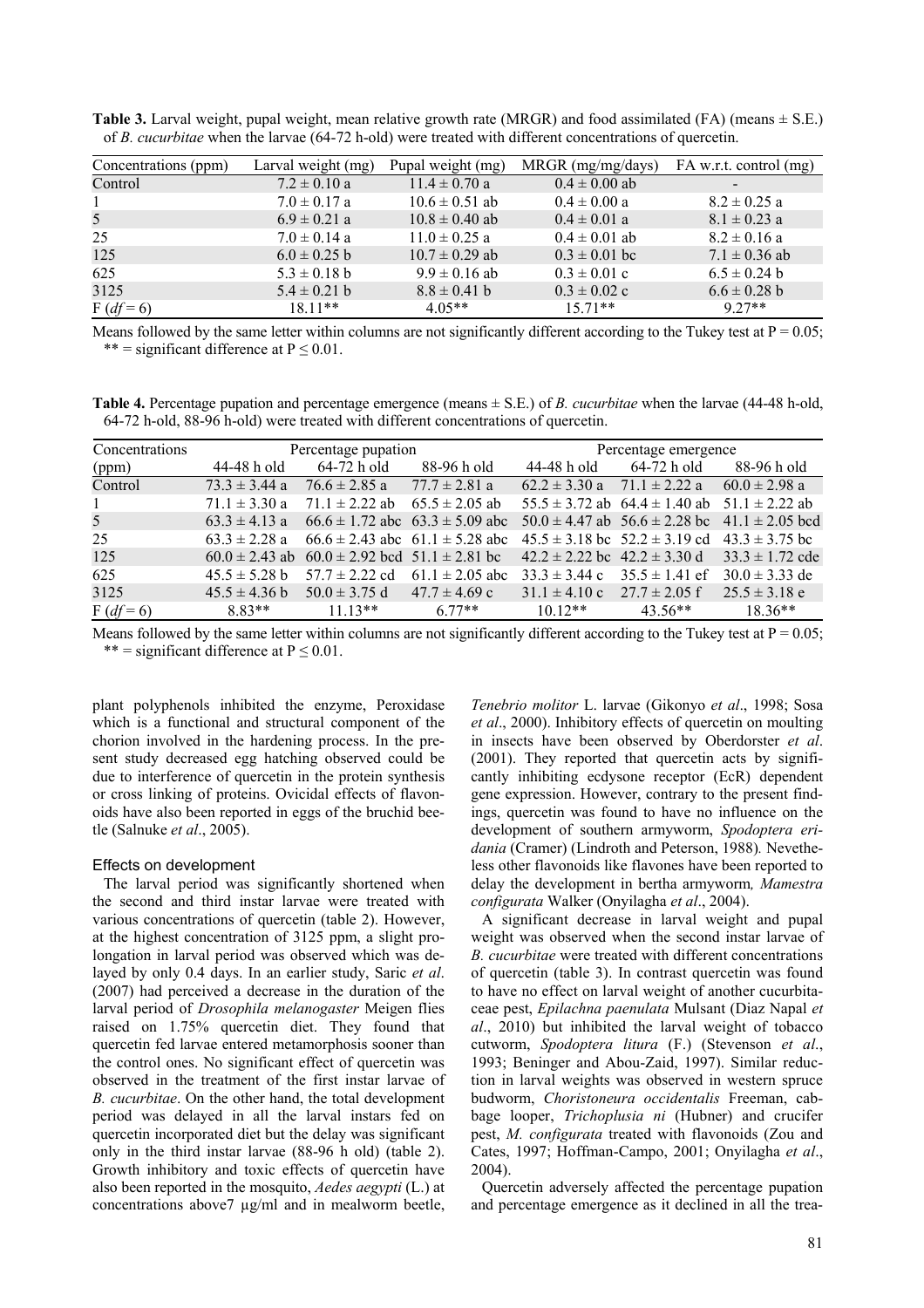**Table 3.** Larval weight, pupal weight, mean relative growth rate (MRGR) and food assimilated (FA) (means  $\pm$  S.E.) of *B. cucurbitae* when the larvae (64-72 h-old) were treated with different concentrations of quercetin.

| Concentrations (ppm) | Larval weight (mg) | Pupal weight (mg)  | MRGR (mg/mg/days) | FA w.r.t. control (mg)   |
|----------------------|--------------------|--------------------|-------------------|--------------------------|
| Control              | $7.2 \pm 0.10$ a   | $11.4 \pm 0.70$ a  | $0.4 \pm 0.00$ ab | $\overline{\phantom{a}}$ |
|                      | $7.0 \pm 0.17$ a   | $10.6 \pm 0.51$ ab | $0.4 \pm 0.00 a$  | $8.2 \pm 0.25$ a         |
| 5 <sup>5</sup>       | $6.9 \pm 0.21$ a   | $10.8 \pm 0.40$ ab | $0.4 \pm 0.01$ a  | $8.1 \pm 0.23$ a         |
| 25                   | $7.0 \pm 0.14$ a   | $11.0 \pm 0.25$ a  | $0.4 \pm 0.01$ ab | $8.2 \pm 0.16$ a         |
| 125                  | $6.0 \pm 0.25$ b   | $10.7 \pm 0.29$ ab | $0.3 \pm 0.01$ bc | $7.1 \pm 0.36$ ab        |
| 625                  | $5.3 \pm 0.18$ b   | $9.9 \pm 0.16$ ab  | $0.3 \pm 0.01$ c  | $6.5 \pm 0.24$ b         |
| 3125                 | $5.4 \pm 0.21$ b   | $8.8 \pm 0.41$ b   | $0.3 \pm 0.02$ c  | $6.6 \pm 0.28$ b         |
| $F (df = 6)$         | $18.11**$          | $4.05**$           | $1571**$          | $9.27**$                 |

Means followed by the same letter within columns are not significantly different according to the Tukey test at  $P = 0.05$ ; \*\* = significant difference at  $P \le 0.01$ .

**Table 4.** Percentage pupation and percentage emergence (means ± S.E.) of *B. cucurbitae* when the larvae (44-48 h-old, 64-72 h-old, 88-96 h-old) were treated with different concentrations of quercetin.

| Concentrations |                   | Percentage pupation                                       |                                         | Percentage emergence                 |                                       |                     |  |
|----------------|-------------------|-----------------------------------------------------------|-----------------------------------------|--------------------------------------|---------------------------------------|---------------------|--|
| (ppm)          | 44-48 h old       | 64-72 h old                                               | 88-96 h old                             | 44-48 h old                          | 64-72 h old                           | 88-96 h old         |  |
| Control        | $73.3 \pm 3.44$ a | $76.6 \pm 2.85$ a                                         | $77.7 \pm 2.81$ a                       | $62.2 \pm 3.30$ a                    | $71.1 \pm 2.22$ a                     | $60.0 \pm 2.98$ a   |  |
| $\mathbf{1}$   | $71.1 \pm 3.30$ a | $71.1 \pm 2.22$ ab                                        | $65.5 \pm 2.05$ ab                      |                                      | $55.5 \pm 3.72$ ab $64.4 \pm 1.40$ ab | $51.1 \pm 2.22$ ab  |  |
| 5 <sup>7</sup> | $63.3 \pm 4.13$ a |                                                           | $66.6 \pm 1.72$ abc $63.3 \pm 5.09$ abc |                                      | $50.0 \pm 4.47$ ab $56.6 \pm 2.28$ bc | $41.1 \pm 2.05$ bcd |  |
| 25             | $63.3 \pm 2.28$ a |                                                           | $66.6 \pm 2.43$ abc $61.1 \pm 5.28$ abc |                                      | $45.5 \pm 3.18$ bc $52.2 \pm 3.19$ cd | $43.3 \pm 3.75$ bc  |  |
| 125            |                   | $60.0 \pm 2.43$ ab $60.0 \pm 2.92$ bcd $51.1 \pm 2.81$ bc |                                         | $42.2 \pm 2.22$ bc $42.2 \pm 3.30$ d |                                       | $33.3 \pm 1.72$ cde |  |
| 625            | $45.5 \pm 5.28$ b | $57.7 \pm 2.22$ cd                                        | $61.1 \pm 2.05$ abc                     | $33.3 \pm 3.44$ c                    | $35.5 \pm 1.41$ ef                    | $30.0 \pm 3.33$ de  |  |
| 3125           | $45.5 \pm 4.36 b$ | $50.0 \pm 3.75$ d                                         | $47.7 \pm 4.69$ c                       | $31.1 \pm 4.10$ c                    | $27.7 \pm 2.05$ f                     | $25.5 \pm 3.18$ e   |  |
| $F (df = 6)$   | 8.83**            | $11.13**$                                                 | $6.77**$                                | $10.12**$                            | 43.56**                               | $18.36**$           |  |

Means followed by the same letter within columns are not significantly different according to the Tukey test at  $P = 0.05$ ; \*\* = significant difference at  $P \le 0.01$ .

plant polyphenols inhibited the enzyme, Peroxidase which is a functional and structural component of the chorion involved in the hardening process. In the present study decreased egg hatching observed could be due to interference of quercetin in the protein synthesis or cross linking of proteins. Ovicidal effects of flavonoids have also been reported in eggs of the bruchid beetle (Salnuke *et al*., 2005).

## Effects on development

The larval period was significantly shortened when the second and third instar larvae were treated with various concentrations of quercetin (table 2). However, at the highest concentration of 3125 ppm, a slight prolongation in larval period was observed which was delayed by only 0.4 days. In an earlier study, Saric *et al*. (2007) had perceived a decrease in the duration of the larval period of *Drosophila melanogaster* Meigen flies raised on 1.75% quercetin diet. They found that quercetin fed larvae entered metamorphosis sooner than the control ones. No significant effect of quercetin was observed in the treatment of the first instar larvae of *B. cucurbitae*. On the other hand, the total development period was delayed in all the larval instars fed on quercetin incorporated diet but the delay was significant only in the third instar larvae (88-96 h old) (table 2). Growth inhibitory and toxic effects of quercetin have also been reported in the mosquito, *Aedes aegypti* (L.) at concentrations above7 µg/ml and in mealworm beetle, *Tenebrio molitor* L. larvae (Gikonyo *et al*., 1998; Sosa *et al*., 2000). Inhibitory effects of quercetin on moulting in insects have been observed by Oberdorster *et al*. (2001). They reported that quercetin acts by significantly inhibiting ecdysone receptor (EcR) dependent gene expression. However, contrary to the present findings, quercetin was found to have no influence on the development of southern armyworm, *Spodoptera eridania* (Cramer) (Lindroth and Peterson, 1988)*.* Nevetheless other flavonoids like flavones have been reported to delay the development in bertha armyworm*, Mamestra configurata* Walker (Onyilagha *et al*., 2004).

A significant decrease in larval weight and pupal weight was observed when the second instar larvae of *B. cucurbitae* were treated with different concentrations of quercetin (table 3). In contrast quercetin was found to have no effect on larval weight of another cucurbitaceae pest, *Epilachna paenulata* Mulsant (Diaz Napal *et al*., 2010) but inhibited the larval weight of tobacco cutworm, *Spodoptera litura* (F.) (Stevenson *et al*., 1993; Beninger and Abou-Zaid, 1997). Similar reduction in larval weights was observed in western spruce budworm, *Choristoneura occidentalis* Freeman, cabbage looper, *Trichoplusia ni* (Hubner) and crucifer pest, *M. configurata* treated with flavonoids (Zou and Cates, 1997; Hoffman-Campo, 2001; Onyilagha *et al*., 2004).

Quercetin adversely affected the percentage pupation and percentage emergence as it declined in all the trea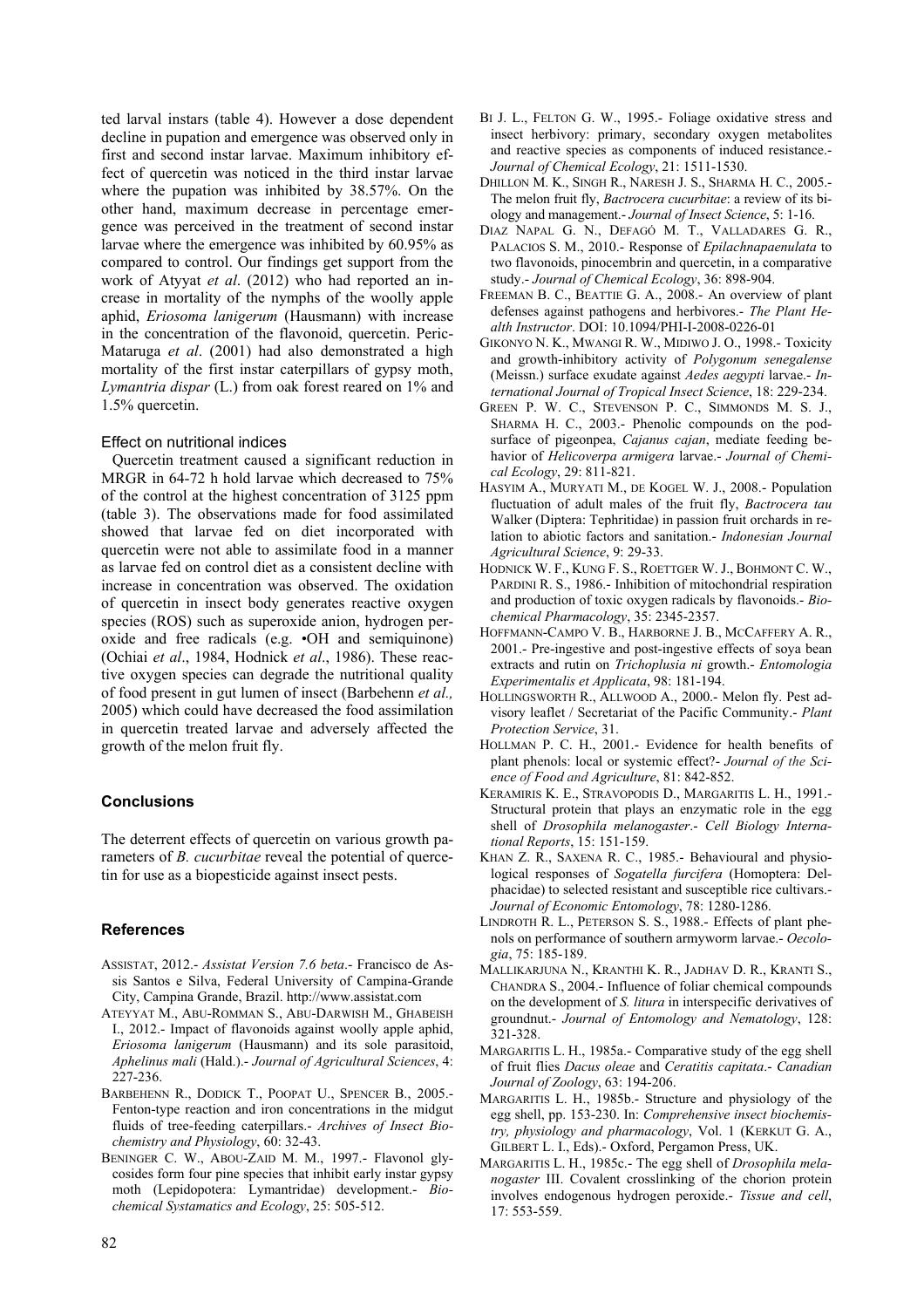ted larval instars (table 4). However a dose dependent decline in pupation and emergence was observed only in first and second instar larvae. Maximum inhibitory effect of quercetin was noticed in the third instar larvae where the pupation was inhibited by 38.57%. On the other hand, maximum decrease in percentage emergence was perceived in the treatment of second instar larvae where the emergence was inhibited by 60.95% as compared to control. Our findings get support from the work of Atyyat *et al*. (2012) who had reported an increase in mortality of the nymphs of the woolly apple aphid, *Eriosoma lanigerum* (Hausmann) with increase in the concentration of the flavonoid, quercetin. Peric-Mataruga *et al*. (2001) had also demonstrated a high mortality of the first instar caterpillars of gypsy moth, *Lymantria dispar* (L.) from oak forest reared on 1% and 1.5% quercetin.

## Effect on nutritional indices

Quercetin treatment caused a significant reduction in MRGR in 64-72 h hold larvae which decreased to 75% of the control at the highest concentration of 3125 ppm (table 3). The observations made for food assimilated showed that larvae fed on diet incorporated with quercetin were not able to assimilate food in a manner as larvae fed on control diet as a consistent decline with increase in concentration was observed. The oxidation of quercetin in insect body generates reactive oxygen species (ROS) such as superoxide anion, hydrogen peroxide and free radicals (e.g. •OH and semiquinone) (Ochiai *et al*., 1984, Hodnick *et al*., 1986). These reactive oxygen species can degrade the nutritional quality of food present in gut lumen of insect (Barbehenn *et al.,* 2005) which could have decreased the food assimilation in quercetin treated larvae and adversely affected the growth of the melon fruit fly.

# **Conclusions**

The deterrent effects of quercetin on various growth parameters of *B. cucurbitae* reveal the potential of quercetin for use as a biopesticide against insect pests.

# **References**

- ASSISTAT, 2012.- *Assistat Version 7.6 beta*.- Francisco de Assis Santos e Silva, Federal University of Campina-Grande City, Campina Grande, Brazil. http://www.assistat.com
- ATEYYAT M., ABU-ROMMAN S., ABU-DARWISH M., GHABEISH I., 2012.- Impact of flavonoids against woolly apple aphid, *Eriosoma lanigerum* (Hausmann) and its sole parasitoid, *Aphelinus mali* (Hald.).- *Journal of Agricultural Sciences*, 4: 227-236.
- BARBEHENN R., DODICK T., POOPAT U., SPENCER B., 2005.- Fenton-type reaction and iron concentrations in the midgut fluids of tree-feeding caterpillars.- *Archives of Insect Biochemistry and Physiology*, 60: 32-43.
- BENINGER C. W., ABOU-ZAID M. M., 1997.- Flavonol glycosides form four pine species that inhibit early instar gypsy moth (Lepidopotera: Lymantridae) development.- *Biochemical Systamatics and Ecology*, 25: 505-512.
- BI J. L., FELTON G. W., 1995.- Foliage oxidative stress and insect herbivory: primary, secondary oxygen metabolites and reactive species as components of induced resistance.- *Journal of Chemical Ecology*, 21: 1511-1530.
- DHILLON M. K., SINGH R., NARESH J. S., SHARMA H. C., 2005.- The melon fruit fly, *Bactrocera cucurbitae*: a review of its biology and management.- *Journal of Insect Science*, 5: 1-16.
- DIAZ NAPAL G. N., DEFAGÓ M. T., VALLADARES G. R., PALACIOS S. M., 2010.- Response of *Epilachnapaenulata* to two flavonoids, pinocembrin and quercetin, in a comparative study.- *Journal of Chemical Ecology*, 36: 898-904.
- FREEMAN B. C., BEATTIE G. A., 2008.- An overview of plant defenses against pathogens and herbivores.- *The Plant Health Instructor*. DOI: 10.1094/PHI-I-2008-0226-01
- GIKONYO N. K., MWANGI R. W., MIDIWO J. O., 1998.- Toxicity and growth-inhibitory activity of *Polygonum senegalense* (Meissn.) surface exudate against *Aedes aegypti* larvae.- *International Journal of Tropical Insect Science*, 18: 229-234.
- GREEN P. W. C., STEVENSON P. C., SIMMONDS M. S. J., SHARMA H. C., 2003.- Phenolic compounds on the podsurface of pigeonpea, *Cajanus cajan*, mediate feeding behavior of *Helicoverpa armigera* larvae.- *Journal of Chemical Ecology*, 29: 811-821.
- HASYIM A., MURYATI M., DE KOGEL W. J., 2008.- Population fluctuation of adult males of the fruit fly, *Bactrocera tau* Walker (Diptera: Tephritidae) in passion fruit orchards in relation to abiotic factors and sanitation.- *Indonesian Journal Agricultural Science*, 9: 29-33.
- HODNICK W. F., KUNG F. S., ROETTGER W. J., BOHMONT C. W., PARDINI R. S., 1986.- Inhibition of mitochondrial respiration and production of toxic oxygen radicals by flavonoids.- *Biochemical Pharmacology*, 35: 2345-2357.
- HOFFMANN-CAMPO V. B., HARBORNE J. B., MCCAFFERY A. R., 2001.- Pre-ingestive and post-ingestive effects of soya bean extracts and rutin on *Trichoplusia ni* growth.- *Entomologia Experimentalis et Applicata*, 98: 181-194.
- HOLLINGSWORTH R., ALLWOOD A., 2000.- Melon fly. Pest advisory leaflet / Secretariat of the Pacific Community.- *Plant Protection Service*, 31.
- HOLLMAN P. C. H., 2001.- Evidence for health benefits of plant phenols: local or systemic effect?- *Journal of the Science of Food and Agriculture*, 81: 842-852.
- KERAMIRIS K. E., STRAVOPODIS D., MARGARITIS L. H., 1991.- Structural protein that plays an enzymatic role in the egg shell of *Drosophila melanogaster*.- *Cell Biology International Reports*, 15: 151-159.
- KHAN Z. R., SAXENA R. C., 1985.- Behavioural and physiological responses of *Sogatella furcifera* (Homoptera: Delphacidae) to selected resistant and susceptible rice cultivars.- *Journal of Economic Entomology*, 78: 1280-1286.
- LINDROTH R. L., PETERSON S. S., 1988.- Effects of plant phenols on performance of southern armyworm larvae.- *Oecologia*, 75: 185-189.
- MALLIKARJUNA N., KRANTHI K. R., JADHAV D. R., KRANTI S., CHANDRA S., 2004.- Influence of foliar chemical compounds on the development of *S. litura* in interspecific derivatives of groundnut.- *Journal of Entomology and Nematology*, 128: 321-328.
- MARGARITIS L. H., 1985a.- Comparative study of the egg shell of fruit flies *Dacus oleae* and *Ceratitis capitata*.- *Canadian Journal of Zoology*, 63: 194-206.
- MARGARITIS L. H., 1985b.- Structure and physiology of the egg shell, pp. 153-230. In: *Comprehensive insect biochemistry, physiology and pharmacology*, Vol. 1 (KERKUT G. A., GILBERT L. I., Eds).- Oxford, Pergamon Press, UK.
- MARGARITIS L. H., 1985c.- The egg shell of *Drosophila melanogaster* III. Covalent crosslinking of the chorion protein involves endogenous hydrogen peroxide.- *Tissue and cell*, 17: 553-559.